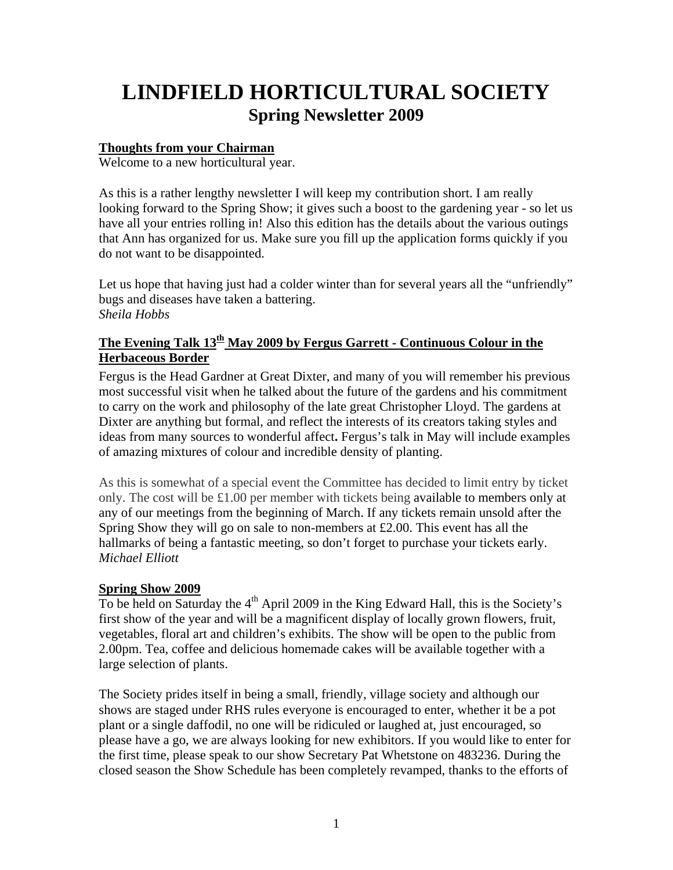# **LINDFIELD HORTICULTURAL SOCIETY Spring Newsletter 2009**

## **Thoughts from your Chairman**

Welcome to a new horticultural year.

As this is a rather lengthy newsletter I will keep my contribution short. I am really looking forward to the Spring Show; it gives such a boost to the gardening year - so let us have all your entries rolling in! Also this edition has the details about the various outings that Ann has organized for us. Make sure you fill up the application forms quickly if you do not want to be disappointed.

Let us hope that having just had a colder winter than for several years all the "unfriendly" bugs and diseases have taken a battering. *Sheila Hobbs* 

# The Evening Talk 13<sup>th</sup> May 2009 by Fergus Garrett - Continuous Colour in the **Herbaceous Border**

Fergus is the Head Gardner at Great Dixter, and many of you will remember his previous most successful visit when he talked about the future of the gardens and his commitment to carry on the work and philosophy of the late great Christopher Lloyd. The gardens at Dixter are anything but formal, and reflect the interests of its creators taking styles and ideas from many sources to wonderful affect**.** Fergus's talk in May will include examples of amazing mixtures of colour and incredible density of planting.

As this is somewhat of a special event the Committee has decided to limit entry by ticket only. The cost will be £1.00 per member with tickets being available to members only at any of our meetings from the beginning of March. If any tickets remain unsold after the Spring Show they will go on sale to non-members at £2.00. This event has all the hallmarks of being a fantastic meeting, so don't forget to purchase your tickets early. *Michael Elliott* 

## **Spring Show 2009**

To be held on Saturday the  $4<sup>th</sup>$  April 2009 in the King Edward Hall, this is the Society's first show of the year and will be a magnificent display of locally grown flowers, fruit, vegetables, floral art and children's exhibits. The show will be open to the public from 2.00pm. Tea, coffee and delicious homemade cakes will be available together with a large selection of plants.

The Society prides itself in being a small, friendly, village society and although our shows are staged under RHS rules everyone is encouraged to enter, whether it be a pot plant or a single daffodil, no one will be ridiculed or laughed at, just encouraged, so please have a go, we are always looking for new exhibitors. If you would like to enter for the first time, please speak to our show Secretary Pat Whetstone on 483236. During the closed season the Show Schedule has been completely revamped, thanks to the efforts of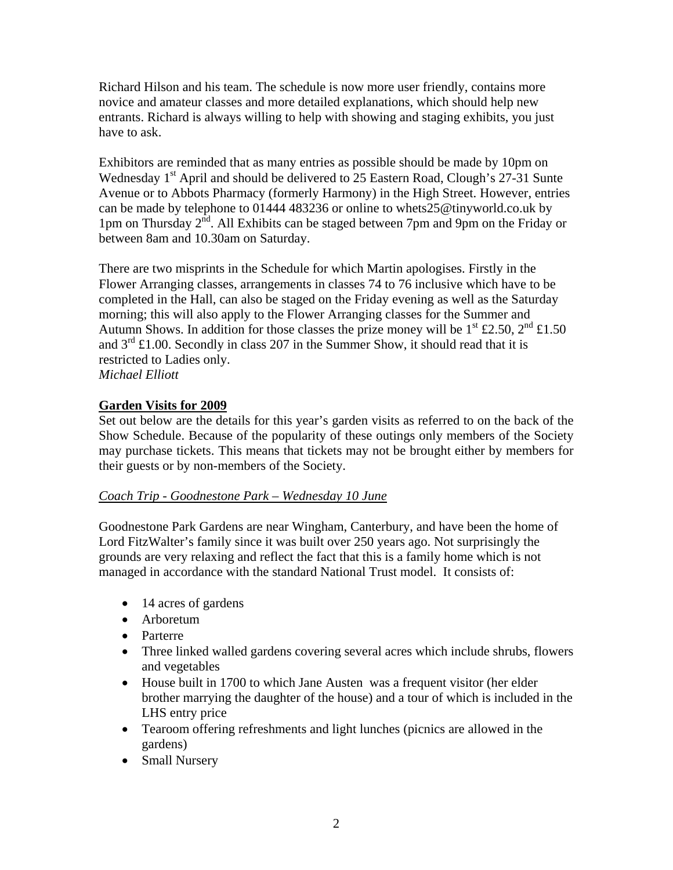Richard Hilson and his team. The schedule is now more user friendly, contains more novice and amateur classes and more detailed explanations, which should help new entrants. Richard is always willing to help with showing and staging exhibits, you just have to ask.

Exhibitors are reminded that as many entries as possible should be made by 10pm on Wednesday 1<sup>st</sup> April and should be delivered to 25 Eastern Road, Clough's 27-31 Sunte Avenue or to Abbots Pharmacy (formerly Harmony) in the High Street. However, entries can be made by telephone to 01444 483236 or online to [whets25@tinyworld.co.uk](mailto:whets25@tinyworld.co.uk) by 1pm on Thursday 2<sup>nd</sup>. All Exhibits can be staged between 7pm and 9pm on the Friday or between 8am and 10.30am on Saturday.

There are two misprints in the Schedule for which Martin apologises. Firstly in the Flower Arranging classes, arrangements in classes 74 to 76 inclusive which have to be completed in the Hall, can also be staged on the Friday evening as well as the Saturday morning; this will also apply to the Flower Arranging classes for the Summer and Autumn Shows. In addition for those classes the prize money will be  $1^{st}$  £2.50,  $2^{nd}$  £1.50 and  $3<sup>rd</sup>$  £1.00. Secondly in class 207 in the Summer Show, it should read that it is restricted to Ladies only. *Michael Elliott* 

## **Garden Visits for 2009**

Set out below are the details for this year's garden visits as referred to on the back of the Show Schedule. Because of the popularity of these outings only members of the Society may purchase tickets. This means that tickets may not be brought either by members for their guests or by non-members of the Society.

## *Coach Trip - Goodnestone Park – Wednesday 10 June*

Goodnestone Park Gardens are near Wingham, Canterbury, and have been the home of Lord FitzWalter's family since it was built over 250 years ago. Not surprisingly the grounds are very relaxing and reflect the fact that this is a family home which is not managed in accordance with the standard National Trust model. It consists of:

- 14 acres of gardens
- Arboretum
- Parterre
- Three linked walled gardens covering several acres which include shrubs, flowers and vegetables
- House built in 1700 to which Jane Austen was a frequent visitor (her elder brother marrying the daughter of the house) and a tour of which is included in the LHS entry price
- Tearoom offering refreshments and light lunches (picnics are allowed in the gardens)
- Small Nursery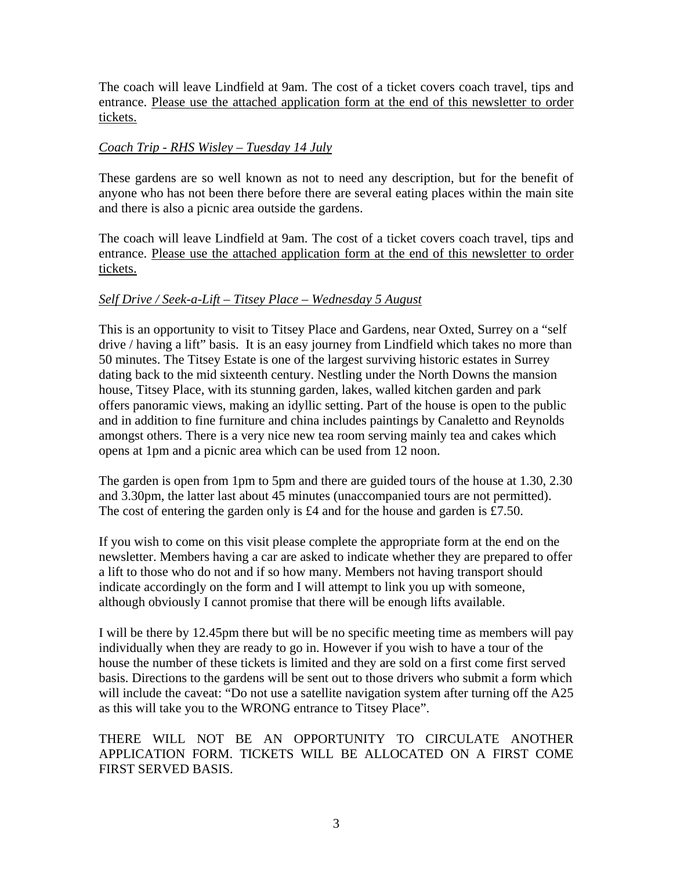The coach will leave Lindfield at 9am. The cost of a ticket covers coach travel, tips and entrance. Please use the attached application form at the end of this newsletter to order tickets.

#### *Coach Trip - RHS Wisley – Tuesday 14 July*

These gardens are so well known as not to need any description, but for the benefit of anyone who has not been there before there are several eating places within the main site and there is also a picnic area outside the gardens.

The coach will leave Lindfield at 9am. The cost of a ticket covers coach travel, tips and entrance. Please use the attached application form at the end of this newsletter to order tickets.

## *Self Drive / Seek-a-Lift – Titsey Place – Wednesday 5 August*

This is an opportunity to visit to Titsey Place and Gardens, near Oxted, Surrey on a "self drive / having a lift" basis. It is an easy journey from Lindfield which takes no more than 50 minutes. The Titsey Estate is one of the largest surviving historic estates in Surrey dating back to the mid sixteenth century. Nestling under the North Downs the mansion house, Titsey Place, with its stunning garden, lakes, walled kitchen garden and park offers panoramic views, making an idyllic setting. Part of the house is open to the public and in addition to fine furniture and china includes paintings by Canaletto and Reynolds amongst others. There is a very nice new tea room serving mainly tea and cakes which opens at 1pm and a picnic area which can be used from 12 noon.

The garden is open from 1pm to 5pm and there are guided tours of the house at 1.30, 2.30 and 3.30pm, the latter last about 45 minutes (unaccompanied tours are not permitted). The cost of entering the garden only is £4 and for the house and garden is £7.50.

If you wish to come on this visit please complete the appropriate form at the end on the newsletter. Members having a car are asked to indicate whether they are prepared to offer a lift to those who do not and if so how many. Members not having transport should indicate accordingly on the form and I will attempt to link you up with someone, although obviously I cannot promise that there will be enough lifts available.

I will be there by 12.45pm there but will be no specific meeting time as members will pay individually when they are ready to go in. However if you wish to have a tour of the house the number of these tickets is limited and they are sold on a first come first served basis. Directions to the gardens will be sent out to those drivers who submit a form which will include the caveat: "Do not use a satellite navigation system after turning off the A25 as this will take you to the WRONG entrance to Titsey Place".

## THERE WILL NOT BE AN OPPORTUNITY TO CIRCULATE ANOTHER APPLICATION FORM. TICKETS WILL BE ALLOCATED ON A FIRST COME FIRST SERVED BASIS.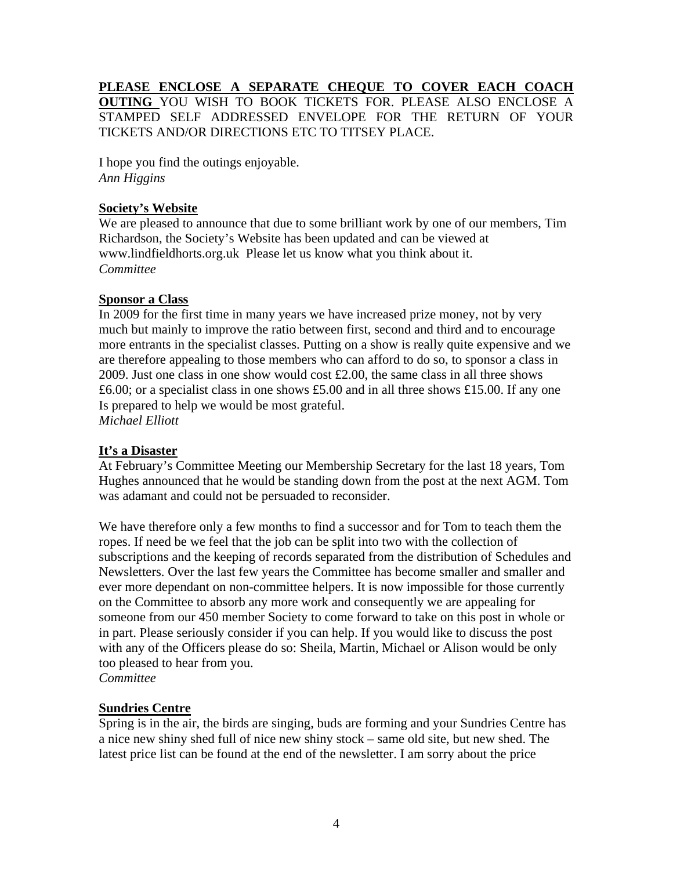## **PLEASE ENCLOSE A SEPARATE CHEQUE TO COVER EACH COACH OUTING** YOU WISH TO BOOK TICKETS FOR. PLEASE ALSO ENCLOSE A STAMPED SELF ADDRESSED ENVELOPE FOR THE RETURN OF YOUR TICKETS AND/OR DIRECTIONS ETC TO TITSEY PLACE.

I hope you find the outings enjoyable. *Ann Higgins* 

#### **Society's Website**

We are pleased to announce that due to some brilliant work by one of our members, Tim Richardson, the Society's Website has been updated and can be viewed at www.lindfieldhorts.org.uk Please let us know what you think about it. *Committee* 

#### **Sponsor a Class**

In 2009 for the first time in many years we have increased prize money, not by very much but mainly to improve the ratio between first, second and third and to encourage more entrants in the specialist classes. Putting on a show is really quite expensive and we are therefore appealing to those members who can afford to do so, to sponsor a class in 2009. Just one class in one show would cost £2.00, the same class in all three shows £6.00; or a specialist class in one shows £5.00 and in all three shows £15.00. If any one Is prepared to help we would be most grateful. *Michael Elliott* 

#### **It's a Disaster**

At February's Committee Meeting our Membership Secretary for the last 18 years, Tom Hughes announced that he would be standing down from the post at the next AGM. Tom was adamant and could not be persuaded to reconsider.

We have therefore only a few months to find a successor and for Tom to teach them the ropes. If need be we feel that the job can be split into two with the collection of subscriptions and the keeping of records separated from the distribution of Schedules and Newsletters. Over the last few years the Committee has become smaller and smaller and ever more dependant on non-committee helpers. It is now impossible for those currently on the Committee to absorb any more work and consequently we are appealing for someone from our 450 member Society to come forward to take on this post in whole or in part. Please seriously consider if you can help. If you would like to discuss the post with any of the Officers please do so: Sheila, Martin, Michael or Alison would be only too pleased to hear from you.

*Committee* 

## **Sundries Centre**

Spring is in the air, the birds are singing, buds are forming and your Sundries Centre has a nice new shiny shed full of nice new shiny stock – same old site, but new shed. The latest price list can be found at the end of the newsletter. I am sorry about the price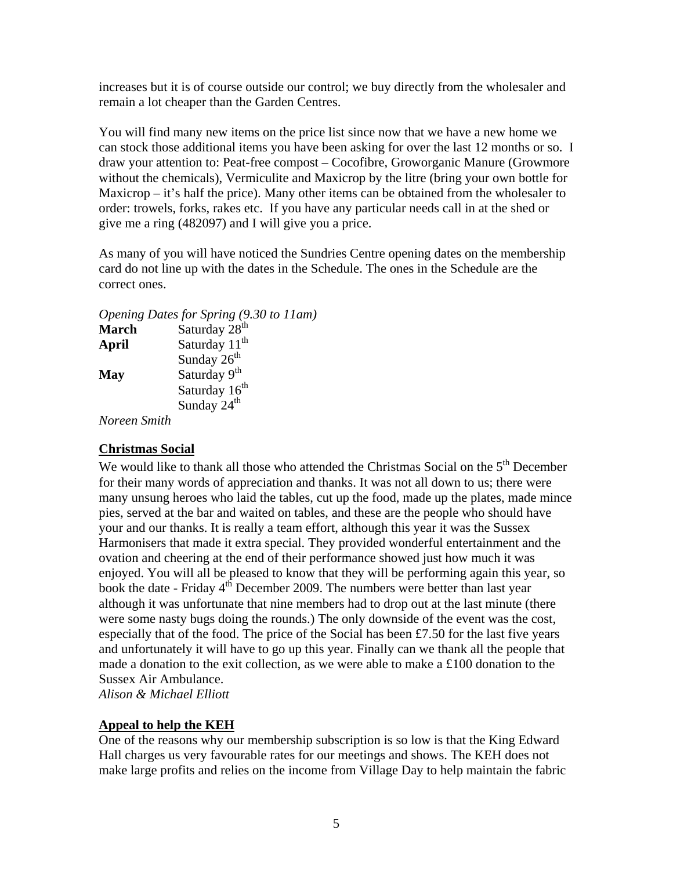increases but it is of course outside our control; we buy directly from the wholesaler and remain a lot cheaper than the Garden Centres.

You will find many new items on the price list since now that we have a new home we can stock those additional items you have been asking for over the last 12 months or so. I draw your attention to: Peat-free compost – Cocofibre, Groworganic Manure (Growmore without the chemicals), Vermiculite and Maxicrop by the litre (bring your own bottle for Maxicrop – it's half the price). Many other items can be obtained from the wholesaler to order: trowels, forks, rakes etc. If you have any particular needs call in at the shed or give me a ring (482097) and I will give you a price.

As many of you will have noticed the Sundries Centre opening dates on the membership card do not line up with the dates in the Schedule. The ones in the Schedule are the correct ones.

*Opening Dates for Spring (9.30 to 11am)* **March** Saturday 28<sup>th</sup> **April** Saturday 11<sup>th</sup> Sunday  $26<sup>th</sup>$ May Saturday 9<sup>th</sup> Saturday 16<sup>th</sup> Sunday 24<sup>th</sup>

*Noreen Smith* 

## **Christmas Social**

We would like to thank all those who attended the Christmas Social on the  $5<sup>th</sup>$  December for their many words of appreciation and thanks. It was not all down to us; there were many unsung heroes who laid the tables, cut up the food, made up the plates, made mince pies, served at the bar and waited on tables, and these are the people who should have your and our thanks. It is really a team effort, although this year it was the Sussex Harmonisers that made it extra special. They provided wonderful entertainment and the ovation and cheering at the end of their performance showed just how much it was enjoyed. You will all be pleased to know that they will be performing again this year, so book the date - Friday 4<sup>th</sup> December 2009. The numbers were better than last year although it was unfortunate that nine members had to drop out at the last minute (there were some nasty bugs doing the rounds.) The only downside of the event was the cost, especially that of the food. The price of the Social has been £7.50 for the last five years and unfortunately it will have to go up this year. Finally can we thank all the people that made a donation to the exit collection, as we were able to make a  $\pounds 100$  donation to the Sussex Air Ambulance.

*Alison & Michael Elliott*

# **Appeal to help the KEH**

One of the reasons why our membership subscription is so low is that the King Edward Hall charges us very favourable rates for our meetings and shows. The KEH does not make large profits and relies on the income from Village Day to help maintain the fabric